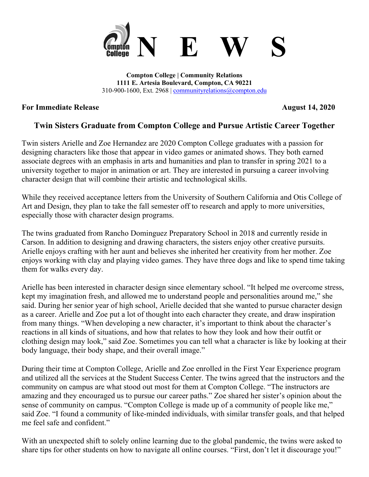

**Compton College | Community Relations 1111 E. Artesia Boulevard, Compton, CA 90221** 310-900-1600, Ext. 2968 | [communityrelations@compton.edu](mailto:communityrelations@compton.edu)

## **For Immediate Release August 14, 2020**

## **Twin Sisters Graduate from Compton College and Pursue Artistic Career Together**

Twin sisters Arielle and Zoe Hernandez are 2020 Compton College graduates with a passion for designing characters like those that appear in video games or animated shows. They both earned associate degrees with an emphasis in arts and humanities and plan to transfer in spring 2021 to a university together to major in animation or art. They are interested in pursuing a career involving character design that will combine their artistic and technological skills.

While they received acceptance letters from the University of Southern California and Otis College of Art and Design, they plan to take the fall semester off to research and apply to more universities, especially those with character design programs.

The twins graduated from Rancho Dominguez Preparatory School in 2018 and currently reside in Carson. In addition to designing and drawing characters, the sisters enjoy other creative pursuits. Arielle enjoys crafting with her aunt and believes she inherited her creativity from her mother. Zoe enjoys working with clay and playing video games. They have three dogs and like to spend time taking them for walks every day.

Arielle has been interested in character design since elementary school. "It helped me overcome stress, kept my imagination fresh, and allowed me to understand people and personalities around me," she said. During her senior year of high school, Arielle decided that she wanted to pursue character design as a career. Arielle and Zoe put a lot of thought into each character they create, and draw inspiration from many things. "When developing a new character, it's important to think about the character's reactions in all kinds of situations, and how that relates to how they look and how their outfit or clothing design may look," said Zoe. Sometimes you can tell what a character is like by looking at their body language, their body shape, and their overall image."

During their time at Compton College, Arielle and Zoe enrolled in the First Year Experience program and utilized all the services at the Student Success Center. The twins agreed that the instructors and the community on campus are what stood out most for them at Compton College. "The instructors are amazing and they encouraged us to pursue our career paths." Zoe shared her sister's opinion about the sense of community on campus. "Compton College is made up of a community of people like me," said Zoe. "I found a community of like-minded individuals, with similar transfer goals, and that helped me feel safe and confident."

With an unexpected shift to solely online learning due to the global pandemic, the twins were asked to share tips for other students on how to navigate all online courses. "First, don't let it discourage you!"